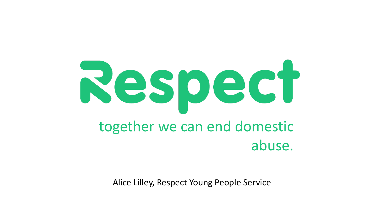

Alice Lilley, Respect Young People Service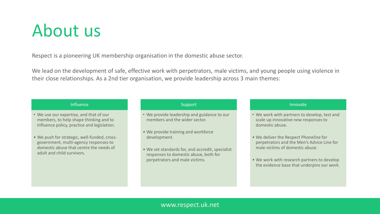#### About us

Respect is a pioneering UK membership organisation in the domestic abuse sector.

We lead on the development of safe, effective work with perpetrators, male victims, and young people using violence in their close relationships. As a 2nd tier organisation, we provide leadership across 3 main themes:

#### Influence

- We use our expertise, and that of our members, to help shape thinking and to influence policy, practice and legislation.
- We push for strategic, well-funded, crossgovernment, multi-agency responses to domestic abuse that centre the needs of adult and child survivors.

#### Support

- We provide leadership and guidance to our members and the wider sector.
- We provide training and workforce development.
- We set standards for, and accredit, specialist responses to domestic abuse, both for perpetrators and male victims.

#### Innovate

- We work with partners to develop, test and scale up innovative new responses to domestic abuse.
- We deliver the Respect Phoneline for perpetrators and the Men's Advice Line for male victims of domestic abuse.
- We work with research partners to develop the evidence base that underpins our work.

#### www.respect.uk.net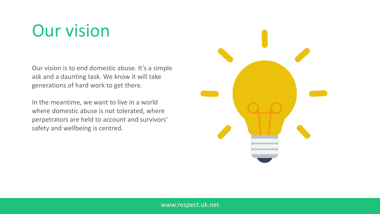### Our vision

Our vision is to end domestic abuse. It's a simple ask and a daunting task. We know it will take generations of hard work to get there.

In the meantime, we want to live in a world where domestic abuse is not tolerated, where perpetrators are held to account and survivors' safety and wellbeing is centred.

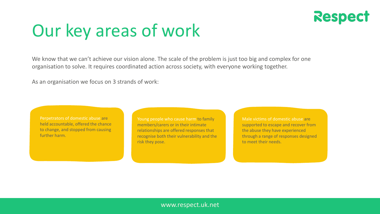

### Our key areas of work

We know that we can't achieve our vision alone. The scale of the problem is just too big and complex for one organisation to solve. It requires coordinated action across society, with everyone working together.

As an organisation we focus on 3 strands of work:

Perpetrators of domestic abuse are held accountable, offered the chance to change, and stopped from causing further harm.

Young people who cause harm to family members/carers or in their intimate relationships are offered responses that recognise both their vulnerability and the risk they pose.

Male victims of domestic abuse are supported to escape and recover from the abuse they have experienced through a range of responses designed to meet their needs.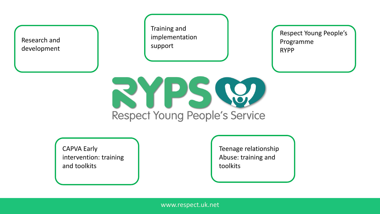

Training and implementation support

Respect Young People's Programme RYPP



CAPVA Early intervention: training and toolkits

Teenage relationship Abuse: training and toolkits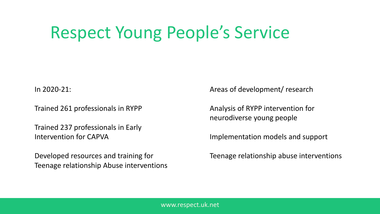## Respect Young People's Service

In 2020-21:

Trained 261 professionals in RYPP

Trained 237 professionals in Early Intervention for CAPVA

Developed resources and training for Teenage relationship Abuse interventions Areas of development/ research

Analysis of RYPP intervention for neurodiverse young people

Implementation models and support

Teenage relationship abuse interventions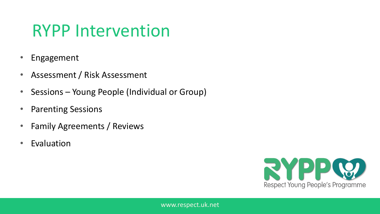#### RYPP Intervention

- **Engagement**
- Assessment / Risk Assessment
- Sessions Young People (Individual or Group)
- Parenting Sessions
- Family Agreements / Reviews
- Evaluation

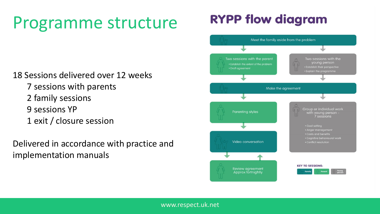### Programme structure

**RYPP flow diagram** 

18 Sessions delivered over 12 weeks 7 sessions with parents 2 family sessions 9 sessions YP 1 exit / closure session

Delivered in accordance with practice and implementation manuals

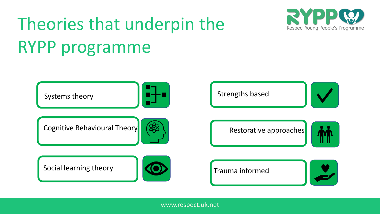# Theories that underpin the RYPP programme



www.respect.uk.net

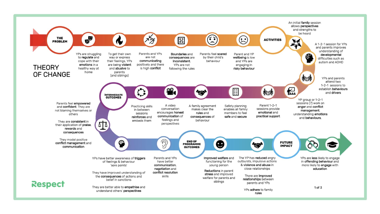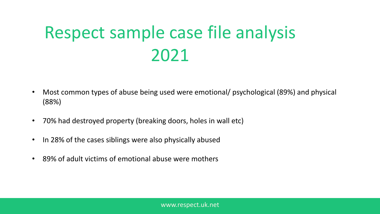# Respect sample case file analysis 2021

- Most common types of abuse being used were emotional/ psychological (89%) and physical (88%)
- 70% had destroyed property (breaking doors, holes in wall etc)
- In 28% of the cases siblings were also physically abused
- 89% of adult victims of emotional abuse were mothers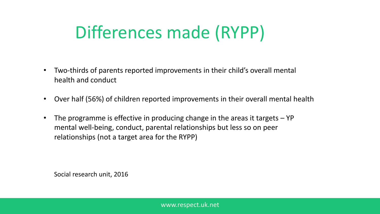## Differences made (RYPP)

- Two-thirds of parents reported improvements in their child's overall mental health and conduct
- Over half (56%) of children reported improvements in their overall mental health
- The programme is effective in producing change in the areas it targets YP mental well-being, conduct, parental relationships but less so on peer relationships (not a target area for the RYPP)

Social research unit, 2016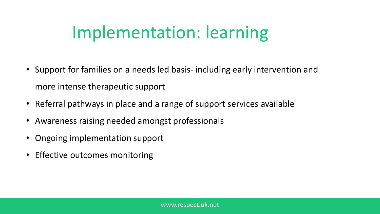### Implementation: learning

- Support for families on a needs led basis- including early intervention and more intense therapeutic support
- Referral pathways in place and a range of support services available
- Awareness raising needed amongst professionals
- Ongoing implementation support
- Effective outcomes monitoring